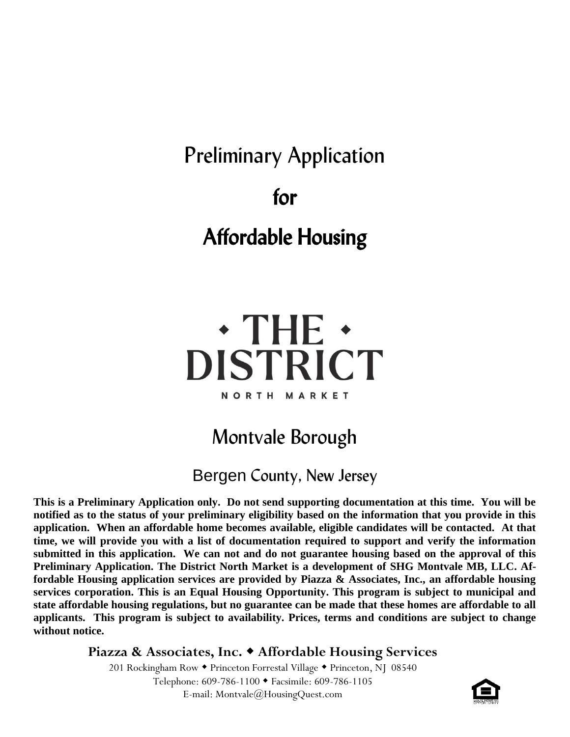# Preliminary Application for Affordable Housing

# $\cdot$  THE  $\cdot$ **DISTRICT NORTH MARKET**

# Montvale Borough

### Bergen County, New Jersey

**This is a Preliminary Application only. Do not send supporting documentation at this time. You will be notified as to the status of your preliminary eligibility based on the information that you provide in this application. When an affordable home becomes available, eligible candidates will be contacted. At that time, we will provide you with a list of documentation required to support and verify the information submitted in this application. We can not and do not guarantee housing based on the approval of this Preliminary Application. The District North Market is a development of SHG Montvale MB, LLC. Affordable Housing application services are provided by Piazza & Associates, Inc., an affordable housing services corporation. This is an Equal Housing Opportunity. This program is subject to municipal and state affordable housing regulations, but no guarantee can be made that these homes are affordable to all applicants. This program is subject to availability. Prices, terms and conditions are subject to change without notice.**

#### **Piazza & Associates, Inc. Affordable Housing Services**

201 Rockingham Row • Princeton Forrestal Village • Princeton, NJ 08540 Telephone: 609-786-1100 Facsimile: 609-786-1105 E-mail: Montvale@HousingQuest.com

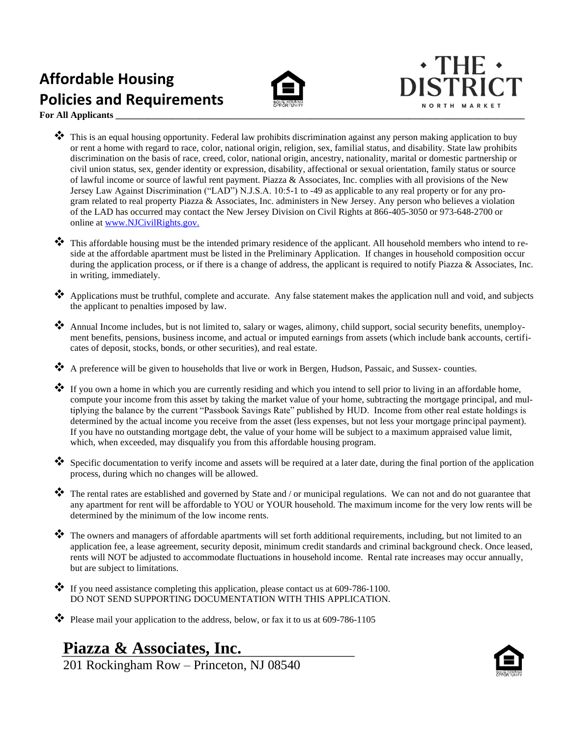## **Affordable Housing Policies and Requirements**





**For All Applicants** 

- $\clubsuit$  This is an equal housing opportunity. Federal law prohibits discrimination against any person making application to buy or rent a home with regard to race, color, national origin, religion, sex, familial status, and disability. State law prohibits discrimination on the basis of race, creed, color, national origin, ancestry, nationality, marital or domestic partnership or civil union status, sex, gender identity or expression, disability, affectional or sexual orientation, family status or source of lawful income or source of lawful rent payment. Piazza & Associates, Inc. complies with all provisions of the New Jersey Law Against Discrimination ("LAD") N.J.S.A. 10:5-1 to -49 as applicable to any real property or for any program related to real property Piazza & Associates, Inc. administers in New Jersey. Any person who believes a violation of the LAD has occurred may contact the New Jersey Division on Civil Rights at 866-405-3050 or 973-648-2700 or online at [www.NJCivilRights.gov.](http://www.njcivilrights.gov/)
- ❖ This affordable housing must be the intended primary residence of the applicant. All household members who intend to reside at the affordable apartment must be listed in the Preliminary Application. If changes in household composition occur during the application process, or if there is a change of address, the applicant is required to notify Piazza & Associates, Inc. in writing, immediately.
- ❖ Applications must be truthful, complete and accurate. Any false statement makes the application null and void, and subjects the applicant to penalties imposed by law.
- ❖ Annual Income includes, but is not limited to, salary or wages, alimony, child support, social security benefits, unemployment benefits, pensions, business income, and actual or imputed earnings from assets (which include bank accounts, certificates of deposit, stocks, bonds, or other securities), and real estate.
- ❖ A preference will be given to households that live or work in Bergen, Hudson, Passaic, and Sussex- counties.
- ❖ If you own a home in which you are currently residing and which you intend to sell prior to living in an affordable home, compute your income from this asset by taking the market value of your home, subtracting the mortgage principal, and multiplying the balance by the current "Passbook Savings Rate" published by HUD. Income from other real estate holdings is determined by the actual income you receive from the asset (less expenses, but not less your mortgage principal payment). If you have no outstanding mortgage debt, the value of your home will be subject to a maximum appraised value limit, which, when exceeded, may disqualify you from this affordable housing program.
- $\bullet$  Specific documentation to verify income and assets will be required at a later date, during the final portion of the application process, during which no changes will be allowed.
- ❖ The rental rates are established and governed by State and / or municipal regulations. We can not and do not guarantee that any apartment for rent will be affordable to YOU or YOUR household. The maximum income for the very low rents will be determined by the minimum of the low income rents.
- ❖ The owners and managers of affordable apartments will set forth additional requirements, including, but not limited to an application fee, a lease agreement, security deposit, minimum credit standards and criminal background check. Once leased, rents will NOT be adjusted to accommodate fluctuations in household income. Rental rate increases may occur annually, but are subject to limitations.
- ❖ If you need assistance completing this application, please contact us at 609-786-1100. DO NOT SEND SUPPORTING DOCUMENTATION WITH THIS APPLICATION.
- ❖ Please mail your application to the address, below, or fax it to us at 609-786-1105

#### Piazza & Associates, Inc.

201 Rockingham Row – Princeton, NJ 08540